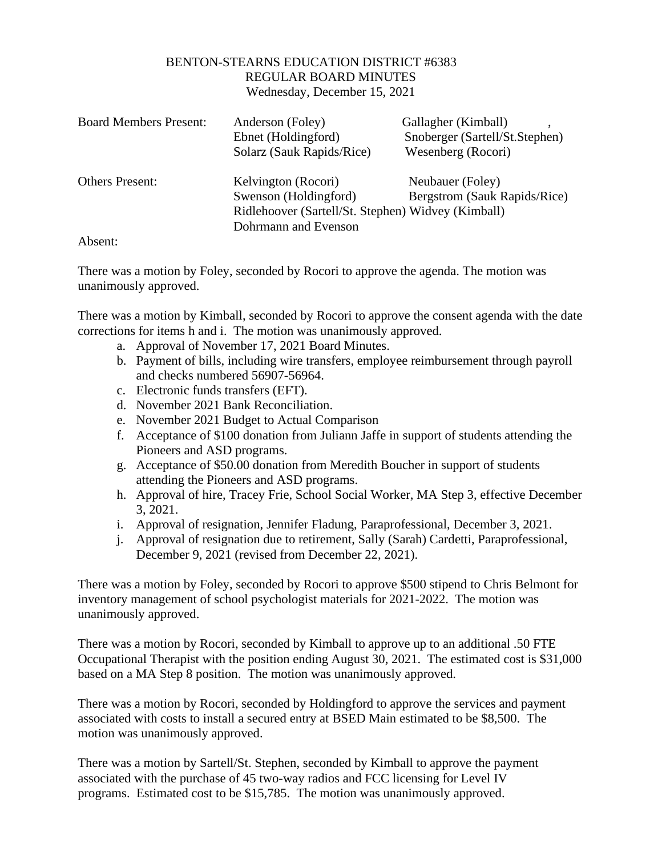## BENTON-STEARNS EDUCATION DISTRICT #6383 REGULAR BOARD MINUTES Wednesday, December 15, 2021

| <b>Board Members Present:</b>          | Anderson (Foley)                                   | Gallagher (Kimball)            |
|----------------------------------------|----------------------------------------------------|--------------------------------|
|                                        | Ebnet (Holdingford)                                | Snoberger (Sartell/St.Stephen) |
|                                        | Solarz (Sauk Rapids/Rice)                          | Wesenberg (Rocori)             |
| <b>Others Present:</b>                 | Kelvington (Rocori)                                | Neubauer (Foley)               |
|                                        | Swenson (Holdingford)                              | Bergstrom (Sauk Rapids/Rice)   |
|                                        | Ridlehoover (Sartell/St. Stephen) Widvey (Kimball) |                                |
|                                        | Dohrmann and Evenson                               |                                |
| $\Lambda$ $\lambda$ $\sim$ $\Lambda$ . |                                                    |                                |

Absent:

There was a motion by Foley, seconded by Rocori to approve the agenda. The motion was unanimously approved.

There was a motion by Kimball, seconded by Rocori to approve the consent agenda with the date corrections for items h and i. The motion was unanimously approved.

- a. Approval of November 17, 2021 Board Minutes.
- b. Payment of bills, including wire transfers, employee reimbursement through payroll and checks numbered 56907-56964.
- c. Electronic funds transfers (EFT).
- d. November 2021 Bank Reconciliation.
- e. November 2021 Budget to Actual Comparison
- f. Acceptance of \$100 donation from Juliann Jaffe in support of students attending the Pioneers and ASD programs.
- g. Acceptance of \$50.00 donation from Meredith Boucher in support of students attending the Pioneers and ASD programs.
- h. Approval of hire, Tracey Frie, School Social Worker, MA Step 3, effective December 3, 2021.
- i. Approval of resignation, Jennifer Fladung, Paraprofessional, December 3, 2021.
- j. Approval of resignation due to retirement, Sally (Sarah) Cardetti, Paraprofessional, December 9, 2021 (revised from December 22, 2021).

There was a motion by Foley, seconded by Rocori to approve \$500 stipend to Chris Belmont for inventory management of school psychologist materials for 2021-2022. The motion was unanimously approved.

There was a motion by Rocori, seconded by Kimball to approve up to an additional .50 FTE Occupational Therapist with the position ending August 30, 2021. The estimated cost is \$31,000 based on a MA Step 8 position. The motion was unanimously approved.

There was a motion by Rocori, seconded by Holdingford to approve the services and payment associated with costs to install a secured entry at BSED Main estimated to be \$8,500. The motion was unanimously approved.

There was a motion by Sartell/St. Stephen, seconded by Kimball to approve the payment associated with the purchase of 45 two-way radios and FCC licensing for Level IV programs. Estimated cost to be \$15,785. The motion was unanimously approved.